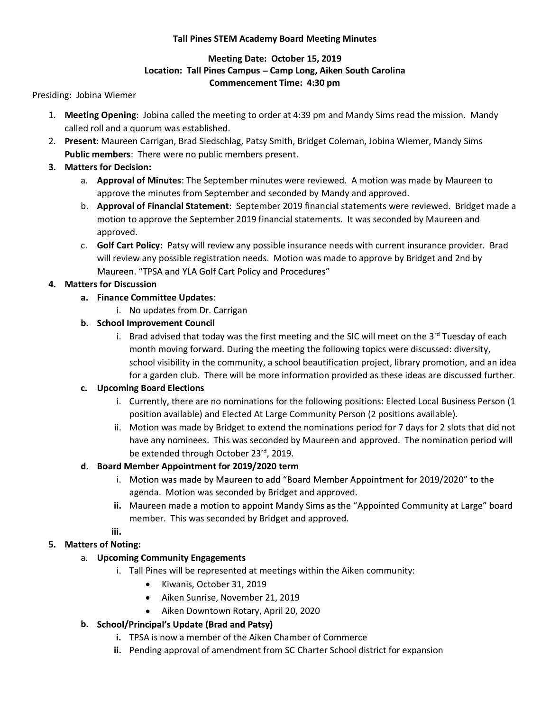### Tall Pines STEM Academy Board Meeting Minutes

## Meeting Date: October 15, 2019 Location: Tall Pines Campus – Camp Long, Aiken South Carolina Commencement Time: 4:30 pm

Presiding: Jobina Wiemer

- 1. Meeting Opening: Jobina called the meeting to order at 4:39 pm and Mandy Sims read the mission. Mandy called roll and a quorum was established.
- 2. Present: Maureen Carrigan, Brad Siedschlag, Patsy Smith, Bridget Coleman, Jobina Wiemer, Mandy Sims Public members: There were no public members present.

## 3. Matters for Decision:

- a. **Approval of Minutes**: The September minutes were reviewed. A motion was made by Maureen to approve the minutes from September and seconded by Mandy and approved.
- b. **Approval of Financial Statement**: September 2019 financial statements were reviewed. Bridget made a motion to approve the September 2019 financial statements. It was seconded by Maureen and approved.
- c. Golf Cart Policy: Patsy will review any possible insurance needs with current insurance provider. Brad will review any possible registration needs. Motion was made to approve by Bridget and 2nd by Maureen. "TPSA and YLA Golf Cart Policy and Procedures"

# 4. Matters for Discussion

- a. Finance Committee Updates:
	- i. No updates from Dr. Carrigan

# b. School Improvement Council

i. Brad advised that today was the first meeting and the SIC will meet on the  $3^{rd}$  Tuesday of each month moving forward. During the meeting the following topics were discussed: diversity, school visibility in the community, a school beautification project, library promotion, and an idea for a garden club. There will be more information provided as these ideas are discussed further.

## c. Upcoming Board Elections

- i. Currently, there are no nominations for the following positions: Elected Local Business Person (1 position available) and Elected At Large Community Person (2 positions available).
- ii. Motion was made by Bridget to extend the nominations period for 7 days for 2 slots that did not have any nominees. This was seconded by Maureen and approved. The nomination period will be extended through October 23rd, 2019.

## d. Board Member Appointment for 2019/2020 term

- i. Motion was made by Maureen to add "Board Member Appointment for 2019/2020" to the agenda. Motion was seconded by Bridget and approved.
- ii. Maureen made a motion to appoint Mandy Sims as the "Appointed Community at Large" board member. This was seconded by Bridget and approved.
- iii.

# 5. Matters of Noting:

- a. **Upcoming Community Engagements**<br>i. Tall Pines will be represented at meetings within the Aiken community:
	- Kiwanis, October 31, 2019
	- Aiken Sunrise, November 21, 2019
	- $\bullet$ Aiken Downtown Rotary, April 20, 2020
- b. School/Principal's Update (Brad and Patsy)
	- i. TPSA is now a member of the Aiken Chamber of Commerce
	- ii. Pending approval of amendment from SC Charter School district for expansion